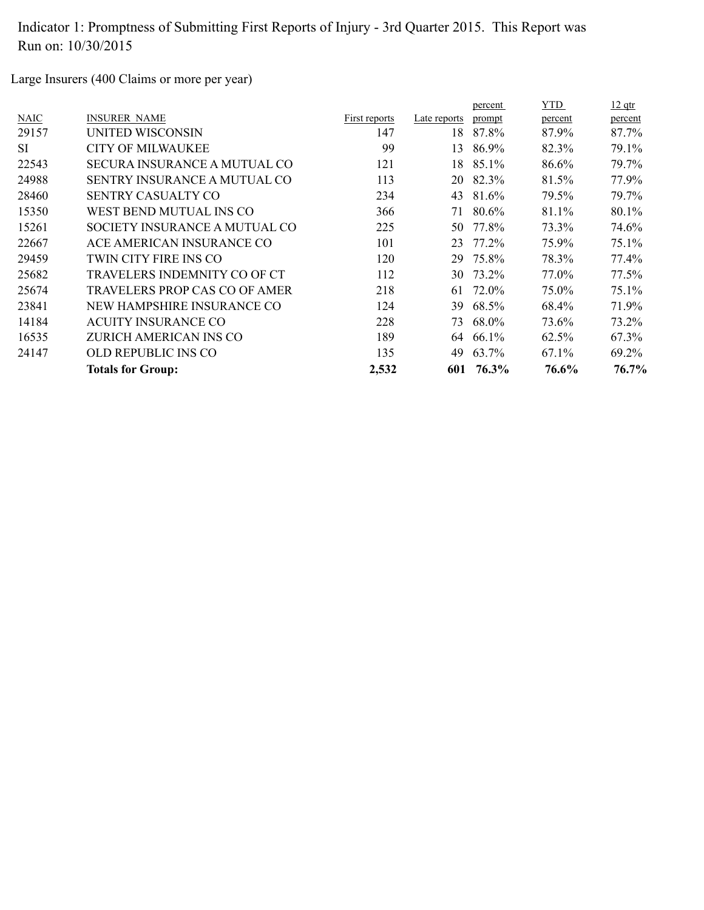Large Insurers (400 Claims or more per year)

|           |                                     |               |              | percent | YTD     | $12$ qtr |
|-----------|-------------------------------------|---------------|--------------|---------|---------|----------|
| NAIC      | <b>INSURER NAME</b>                 | First reports | Late reports | prompt  | percent | percent  |
| 29157     | UNITED WISCONSIN                    | 147           | 18           | 87.8%   | 87.9%   | 87.7%    |
| <b>SI</b> | <b>CITY OF MILWAUKEE</b>            | 99            | 13           | 86.9%   | 82.3%   | 79.1%    |
| 22543     | SECURA INSURANCE A MUTUAL CO        | 121           | 18           | 85.1%   | 86.6%   | 79.7%    |
| 24988     | <b>SENTRY INSURANCE A MUTUAL CO</b> | 113           | 20           | 82.3%   | 81.5%   | 77.9%    |
| 28460     | <b>SENTRY CASUALTY CO</b>           | 234           | 43           | 81.6%   | 79.5%   | 79.7%    |
| 15350     | WEST BEND MUTUAL INS CO             | 366           | 71           | 80.6%   | 81.1%   | 80.1%    |
| 15261     | SOCIETY INSURANCE A MUTUAL CO       | 225           | 50           | 77.8%   | 73.3%   | 74.6%    |
| 22667     | ACE AMERICAN INSURANCE CO           | 101           | 23           | 77.2%   | 75.9%   | 75.1%    |
| 29459     | TWIN CITY FIRE INS CO               | 120           | 29           | 75.8%   | 78.3%   | 77.4%    |
| 25682     | TRAVELERS INDEMNITY CO OF CT        | 112           | 30           | 73.2%   | 77.0%   | 77.5%    |
| 25674     | TRAVELERS PROP CAS CO OF AMER       | 218           | 61           | 72.0%   | 75.0%   | 75.1%    |
| 23841     | NEW HAMPSHIRE INSURANCE CO          | 124           | 39           | 68.5%   | 68.4%   | 71.9%    |
| 14184     | <b>ACUITY INSURANCE CO</b>          | 228           | 73           | 68.0%   | 73.6%   | 73.2%    |
| 16535     | ZURICH AMERICAN INS CO              | 189           | 64           | 66.1%   | 62.5%   | 67.3%    |
| 24147     | OLD REPUBLIC INS CO                 | 135           | 49           | 63.7%   | 67.1%   | 69.2%    |
|           | <b>Totals for Group:</b>            | 2,532         | 601          | 76.3%   | 76.6%   | 76.7%    |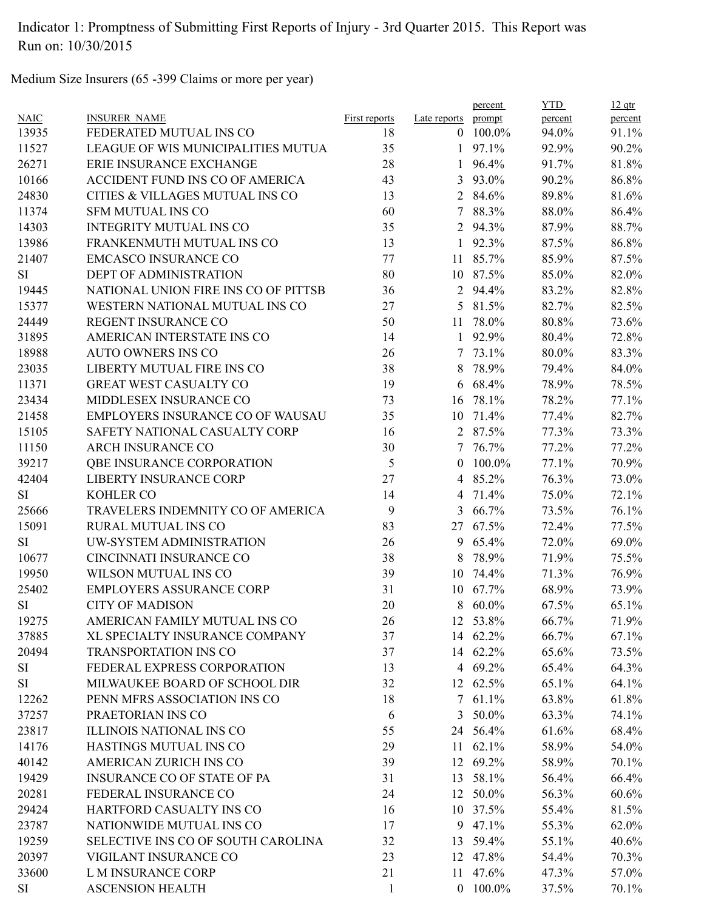Medium Size Insurers (65 -399 Claims or more per year)

|             |                                      |                      |                | percent    | <b>YTD</b> | $12$ qtr |
|-------------|--------------------------------------|----------------------|----------------|------------|------------|----------|
| <b>NAIC</b> | <b>INSURER NAME</b>                  | <b>First reports</b> | Late reports   | prompt     | percent    | percent  |
| 13935       | FEDERATED MUTUAL INS CO              | 18                   |                | $0$ 100.0% | 94.0%      | 91.1%    |
| 11527       | LEAGUE OF WIS MUNICIPALITIES MUTUA   | 35                   | $\mathbf{1}$   | 97.1%      | 92.9%      | 90.2%    |
| 26271       | ERIE INSURANCE EXCHANGE              | 28                   | $\mathbf{1}$   | 96.4%      | 91.7%      | 81.8%    |
| 10166       | ACCIDENT FUND INS CO OF AMERICA      | 43                   | 3              | 93.0%      | 90.2%      | 86.8%    |
| 24830       | CITIES & VILLAGES MUTUAL INS CO      | 13                   |                | 2 84.6%    | 89.8%      | 81.6%    |
| 11374       | <b>SFM MUTUAL INS CO</b>             | 60                   | 7              | 88.3%      | 88.0%      | 86.4%    |
| 14303       | <b>INTEGRITY MUTUAL INS CO</b>       | 35                   | 2              | 94.3%      | 87.9%      | 88.7%    |
| 13986       | FRANKENMUTH MUTUAL INS CO            | 13                   | $\mathbf{1}$   | 92.3%      | 87.5%      | 86.8%    |
| 21407       | <b>EMCASCO INSURANCE CO</b>          | 77                   | 11             | 85.7%      | 85.9%      | 87.5%    |
| <b>SI</b>   | DEPT OF ADMINISTRATION               | 80                   |                | 10 87.5%   | 85.0%      | 82.0%    |
| 19445       | NATIONAL UNION FIRE INS CO OF PITTSB | 36                   | $\overline{2}$ | 94.4%      | 83.2%      | 82.8%    |
| 15377       | WESTERN NATIONAL MUTUAL INS CO       | 27                   | 5 <sup>5</sup> | 81.5%      | 82.7%      | 82.5%    |
| 24449       | REGENT INSURANCE CO                  | 50                   | 11             | 78.0%      | 80.8%      | 73.6%    |
| 31895       | AMERICAN INTERSTATE INS CO           | 14                   | $\mathbf{1}$   | 92.9%      | 80.4%      | 72.8%    |
| 18988       | <b>AUTO OWNERS INS CO</b>            | 26                   | 7              | 73.1%      | 80.0%      | 83.3%    |
| 23035       | LIBERTY MUTUAL FIRE INS CO           | 38                   | 8              | 78.9%      | 79.4%      | 84.0%    |
| 11371       | <b>GREAT WEST CASUALTY CO</b>        | 19                   | 6              | 68.4%      | 78.9%      | 78.5%    |
| 23434       | MIDDLESEX INSURANCE CO               | 73                   | 16             | 78.1%      | 78.2%      | 77.1%    |
| 21458       | EMPLOYERS INSURANCE CO OF WAUSAU     | 35                   | 10             | 71.4%      | 77.4%      | 82.7%    |
| 15105       | SAFETY NATIONAL CASUALTY CORP        | 16                   | $\overline{2}$ | 87.5%      | 77.3%      | 73.3%    |
| 11150       | <b>ARCH INSURANCE CO</b>             | 30                   | 7              | 76.7%      | 77.2%      | 77.2%    |
| 39217       | <b>QBE INSURANCE CORPORATION</b>     | 5                    | $\theta$       | 100.0%     | 77.1%      | 70.9%    |
| 42404       | <b>LIBERTY INSURANCE CORP</b>        | 27                   | $\overline{4}$ | 85.2%      | 76.3%      | 73.0%    |
| <b>SI</b>   | <b>KOHLER CO</b>                     | 14                   | 4              | 71.4%      | 75.0%      | 72.1%    |
| 25666       | TRAVELERS INDEMNITY CO OF AMERICA    | 9                    | 3              | 66.7%      | 73.5%      | 76.1%    |
| 15091       | RURAL MUTUAL INS CO                  | 83                   | 27             | 67.5%      | 72.4%      | 77.5%    |
| <b>SI</b>   | UW-SYSTEM ADMINISTRATION             | 26                   | 9              | 65.4%      | 72.0%      | 69.0%    |
| 10677       | CINCINNATI INSURANCE CO              | 38                   | 8              | 78.9%      | 71.9%      | 75.5%    |
| 19950       | WILSON MUTUAL INS CO                 | 39                   | 10             | 74.4%      | 71.3%      | 76.9%    |
| 25402       | <b>EMPLOYERS ASSURANCE CORP</b>      | 31                   | 10             | 67.7%      | 68.9%      | 73.9%    |
| SI          | <b>CITY OF MADISON</b>               | 20                   | 8              | $60.0\%$   | 67.5%      | 65.1%    |
| 19275       | AMERICAN FAMILY MUTUAL INS CO        | 26                   |                | 12 53.8%   | 66.7%      | 71.9%    |
| 37885       | XL SPECIALTY INSURANCE COMPANY       | 37                   |                | 14 62.2%   | 66.7%      | 67.1%    |
|             | <b>TRANSPORTATION INS CO</b>         |                      |                |            |            |          |
| 20494       |                                      | 37                   |                | 14 62.2%   | 65.6%      | 73.5%    |
| SI          | FEDERAL EXPRESS CORPORATION          | 13                   |                | 4 69.2%    | 65.4%      | 64.3%    |
| SI          | MILWAUKEE BOARD OF SCHOOL DIR        | 32                   |                | 12 62.5%   | 65.1%      | 64.1%    |
| 12262       | PENN MFRS ASSOCIATION INS CO         | 18                   |                | 7 61.1%    | 63.8%      | 61.8%    |
| 37257       | PRAETORIAN INS CO                    | 6                    | 3              | 50.0%      | 63.3%      | 74.1%    |
| 23817       | <b>ILLINOIS NATIONAL INS CO</b>      | 55                   |                | 24 56.4%   | 61.6%      | 68.4%    |
| 14176       | HASTINGS MUTUAL INS CO               | 29                   |                | 11 62.1%   | 58.9%      | 54.0%    |
| 40142       | AMERICAN ZURICH INS CO               | 39                   |                | 12 69.2%   | 58.9%      | 70.1%    |
| 19429       | <b>INSURANCE CO OF STATE OF PA</b>   | 31                   |                | 13 58.1%   | 56.4%      | 66.4%    |
| 20281       | FEDERAL INSURANCE CO                 | 24                   |                | 12 50.0%   | 56.3%      | 60.6%    |
| 29424       | <b>HARTFORD CASUALTY INS CO</b>      | 16                   |                | 10 37.5%   | 55.4%      | 81.5%    |
| 23787       | NATIONWIDE MUTUAL INS CO             | 17                   |                | 9 47.1%    | 55.3%      | 62.0%    |
| 19259       | SELECTIVE INS CO OF SOUTH CAROLINA   | 32                   | 13             | 59.4%      | 55.1%      | 40.6%    |
| 20397       | VIGILANT INSURANCE CO                | 23                   |                | 12 47.8%   | 54.4%      | 70.3%    |
| 33600       | L M INSURANCE CORP                   | 21                   |                | 11 47.6%   | 47.3%      | 57.0%    |
| SI          | <b>ASCENSION HEALTH</b>              | $\mathbf{1}$         |                | $0$ 100.0% | 37.5%      | 70.1%    |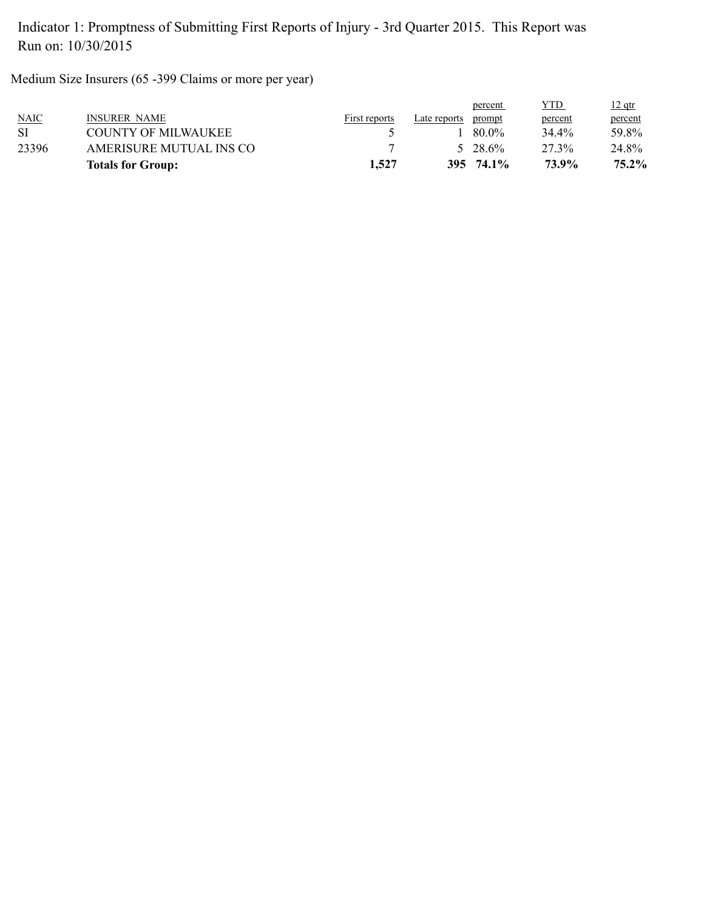Medium Size Insurers (65 -399 Claims or more per year)

|       | <b>Totals for Group:</b> | 1,527         |              | 395 74.1%        | 73.9%   | 75.2%         |
|-------|--------------------------|---------------|--------------|------------------|---------|---------------|
| 23396 | AMERISURE MUTUAL INS CO  |               |              | $5\quad 28\,6\%$ | 27 3%   | 24.8%         |
| SI    | COUNTY OF MILWAUKEE      |               |              | 80.0%            | 34.4%   | 59.8%         |
| NAIC  | <b>INSURER NAME</b>      | First reports | Late reports | prompt           | percent | percent       |
|       |                          |               |              | percent          | YTD     | <u>12 qtr</u> |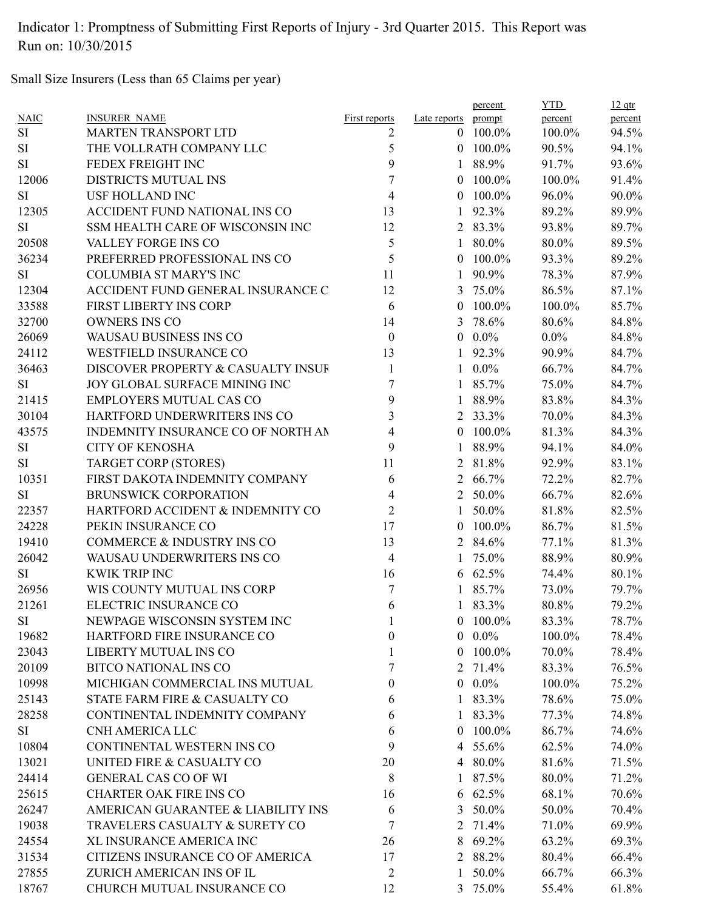Small Size Insurers (Less than 65 Claims per year)

| <b>NAIC</b> | <b>INSURER NAME</b>                | <b>First reports</b> | Late reports   | percent<br>prompt | <b>YTD</b><br>percent | $12$ qtr<br>percent |
|-------------|------------------------------------|----------------------|----------------|-------------------|-----------------------|---------------------|
| SI          | <b>MARTEN TRANSPORT LTD</b>        | 2                    |                | $0$ 100.0%        | 100.0%                | 94.5%               |
| <b>SI</b>   | THE VOLLRATH COMPANY LLC           | 5                    |                | $0$ 100.0%        | 90.5%                 | 94.1%               |
| <b>SI</b>   | FEDEX FREIGHT INC                  | 9                    | $\mathbf{1}$   | 88.9%             | 91.7%                 | 93.6%               |
| 12006       | DISTRICTS MUTUAL INS               | 7                    | $\theta$       | 100.0%            | 100.0%                | 91.4%               |
| <b>SI</b>   | <b>USF HOLLAND INC</b>             | 4                    | $\theta$       | 100.0%            | 96.0%                 | 90.0%               |
| 12305       | ACCIDENT FUND NATIONAL INS CO      | 13                   | 1              | 92.3%             | 89.2%                 | 89.9%               |
| <b>SI</b>   | SSM HEALTH CARE OF WISCONSIN INC   | 12                   |                | 2 83.3%           | 93.8%                 | 89.7%               |
| 20508       | VALLEY FORGE INS CO                | 5                    |                | $180.0\%$         | 80.0%                 | 89.5%               |
|             |                                    | 5                    |                |                   |                       |                     |
| 36234       | PREFERRED PROFESSIONAL INS CO      |                      |                | $0$ 100.0%        | 93.3%                 | 89.2%               |
| <b>SI</b>   | <b>COLUMBIA ST MARY'S INC</b>      | 11                   | 1              | 90.9%             | 78.3%                 | 87.9%               |
| 12304       | ACCIDENT FUND GENERAL INSURANCE C  | 12                   | 3              | 75.0%             | 86.5%                 | 87.1%               |
| 33588       | FIRST LIBERTY INS CORP             | 6                    | $\theta$       | 100.0%            | 100.0%                | 85.7%               |
| 32700       | <b>OWNERS INS CO</b>               | 14                   |                | 3 78.6%           | 80.6%                 | 84.8%               |
| 26069       | <b>WAUSAU BUSINESS INS CO</b>      | $\boldsymbol{0}$     |                | $0.0\%$           | $0.0\%$               | 84.8%               |
| 24112       | <b>WESTFIELD INSURANCE CO</b>      | 13                   |                | 1 92.3%           | 90.9%                 | 84.7%               |
| 36463       | DISCOVER PROPERTY & CASUALTY INSUF | $\mathbf{1}$         |                | $1 \t0.0\%$       | 66.7%                 | 84.7%               |
| <b>SI</b>   | JOY GLOBAL SURFACE MINING INC      | 7                    |                | 1 85.7%           | 75.0%                 | 84.7%               |
| 21415       | <b>EMPLOYERS MUTUAL CAS CO</b>     | 9                    | 1              | 88.9%             | 83.8%                 | 84.3%               |
| 30104       | HARTFORD UNDERWRITERS INS CO       | 3                    |                | 2 33.3%           | 70.0%                 | 84.3%               |
| 43575       | INDEMNITY INSURANCE CO OF NORTH AN | 4                    |                | $0$ 100.0%        | 81.3%                 | 84.3%               |
| SI          | <b>CITY OF KENOSHA</b>             | 9                    | $\mathbf{1}$   | 88.9%             | 94.1%                 | 84.0%               |
| <b>SI</b>   | <b>TARGET CORP (STORES)</b>        | 11                   |                | 2 81.8%           | 92.9%                 | 83.1%               |
| 10351       | FIRST DAKOTA INDEMNITY COMPANY     | 6                    |                | 2 66.7%           | 72.2%                 | 82.7%               |
| <b>SI</b>   | <b>BRUNSWICK CORPORATION</b>       | 4                    |                | 2 50.0%           | 66.7%                 | 82.6%               |
| 22357       | HARTFORD ACCIDENT & INDEMNITY CO   | $\overline{2}$       | $\mathbf{1}$   | 50.0%             | 81.8%                 | 82.5%               |
| 24228       | PEKIN INSURANCE CO                 | 17                   | $\overline{0}$ | 100.0%            | 86.7%                 | 81.5%               |
| 19410       | COMMERCE & INDUSTRY INS CO         | 13                   |                | 2 84.6%           | 77.1%                 | 81.3%               |
| 26042       | WAUSAU UNDERWRITERS INS CO         | 4                    |                | 75.0%             | 88.9%                 | 80.9%               |
| <b>SI</b>   | <b>KWIK TRIP INC</b>               | 16                   |                | 6 62.5%           | 74.4%                 | 80.1%               |
| 26956       | WIS COUNTY MUTUAL INS CORP         | $\overline{7}$       |                | 1 85.7%           | 73.0%                 | 79.7%               |
| 21261       | ELECTRIC INSURANCE CO              | 6                    |                | 83.3%             | 80.8%                 | 79.2%               |
| <b>SI</b>   | NEWPAGE WISCONSIN SYSTEM INC       | 1                    |                | $0$ 100.0%        | 83.3%                 | 78.7%               |
| 19682       | HARTFORD FIRE INSURANCE CO         | $\boldsymbol{0}$     | $\overline{0}$ | $0.0\%$           | 100.0%                | 78.4%               |
| 23043       | LIBERTY MUTUAL INS CO              | 1                    | $\overline{0}$ | 100.0%            | 70.0%                 | 78.4%               |
| 20109       | <b>BITCO NATIONAL INS CO</b>       | 7                    | 2              | 71.4%             | 83.3%                 | 76.5%               |
| 10998       | MICHIGAN COMMERCIAL INS MUTUAL     | 0                    |                | $0.0\%$           | 100.0%                | 75.2%               |
| 25143       | STATE FARM FIRE & CASUALTY CO      |                      |                |                   | 78.6%                 |                     |
|             |                                    | 6                    |                | $183.3\%$         |                       | 75.0%               |
| 28258       | CONTINENTAL INDEMNITY COMPANY      | 6                    |                | 1 83.3%           | 77.3%                 | 74.8%               |
| SI          | CNH AMERICA LLC                    | 6                    | $\overline{0}$ | 100.0%            | 86.7%                 | 74.6%               |
| 10804       | CONTINENTAL WESTERN INS CO         | 9                    |                | 4 55.6%           | 62.5%                 | 74.0%               |
| 13021       | UNITED FIRE & CASUALTY CO          | 20                   |                | 4 80.0%           | 81.6%                 | 71.5%               |
| 24414       | <b>GENERAL CAS CO OF WI</b>        | 8                    | 1              | 87.5%             | 80.0%                 | 71.2%               |
| 25615       | <b>CHARTER OAK FIRE INS CO</b>     | 16                   |                | $6\quad 62.5\%$   | 68.1%                 | 70.6%               |
| 26247       | AMERICAN GUARANTEE & LIABILITY INS | 6                    |                | 3 50.0%           | 50.0%                 | 70.4%               |
| 19038       | TRAVELERS CASUALTY & SURETY CO     | 7                    |                | 2 71.4%           | 71.0%                 | 69.9%               |
| 24554       | XL INSURANCE AMERICA INC           | 26                   | 8              | 69.2%             | 63.2%                 | 69.3%               |
| 31534       | CITIZENS INSURANCE CO OF AMERICA   | 17                   |                | 2 88.2%           | 80.4%                 | 66.4%               |
| 27855       | ZURICH AMERICAN INS OF IL          | $\overline{2}$       | 1              | 50.0%             | 66.7%                 | 66.3%               |
| 18767       | CHURCH MUTUAL INSURANCE CO         | 12                   |                | 3 75.0%           | 55.4%                 | 61.8%               |